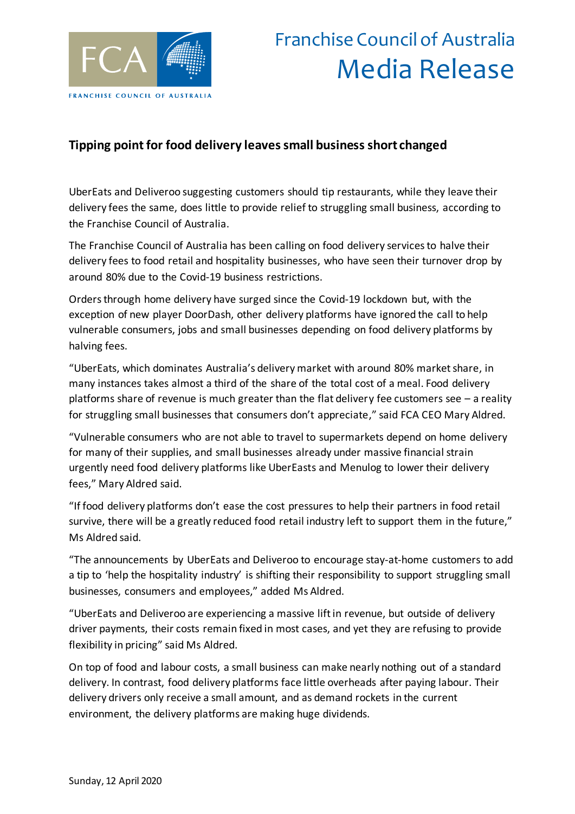

## Franchise Council of Australia Media Release

## **Tipping point for food delivery leaves small business short changed**

UberEats and Deliveroo suggesting customers should tip restaurants, while they leave their delivery fees the same, does little to provide relief to struggling small business, according to the Franchise Council of Australia.

The Franchise Council of Australia has been calling on food delivery services to halve their delivery fees to food retail and hospitality businesses, who have seen their turnover drop by around 80% due to the Covid-19 business restrictions.

Orders through home delivery have surged since the Covid-19 lockdown but, with the exception of new player DoorDash, other delivery platforms have ignored the call to help vulnerable consumers, jobs and small businesses depending on food delivery platforms by halving fees.

"UberEats, which dominates Australia's delivery market with around 80% market share, in many instances takes almost a third of the share of the total cost of a meal. Food delivery platforms share of revenue is much greater than the flat delivery fee customers see  $-$  a reality for struggling small businesses that consumers don't appreciate," said FCA CEO Mary Aldred.

"Vulnerable consumers who are not able to travel to supermarkets depend on home delivery for many of their supplies, and small businesses already under massive financial strain urgently need food delivery platforms like UberEasts and Menulog to lower their delivery fees," Mary Aldred said.

"If food delivery platforms don't ease the cost pressures to help their partners in food retail survive, there will be a greatly reduced food retail industry left to support them in the future," Ms Aldred said.

"The announcements by UberEats and Deliveroo to encourage stay-at-home customers to add a tip to 'help the hospitality industry' is shifting their responsibility to support struggling small businesses, consumers and employees," added Ms Aldred.

"UberEats and Deliveroo are experiencing a massive lift in revenue, but outside of delivery driver payments, their costs remain fixed in most cases, and yet they are refusing to provide flexibility in pricing" said Ms Aldred.

On top of food and labour costs, a small business can make nearly nothing out of a standard delivery. In contrast, food delivery platforms face little overheads after paying labour. Their delivery drivers only receive a small amount, and as demand rockets in the current environment, the delivery platforms are making huge dividends.